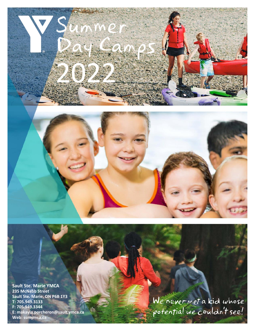

**Sault Ste. Marie YMCA 235 McNabb Street Sault Ste. Marie, ON P6B 1Y3 T: 705.949.3133 F: 705.949.3344 E: makayla.porcheron@sault.ymca.ca Web: ssmymca.ca**

We never met a kid whose<br>potential we couldn't see!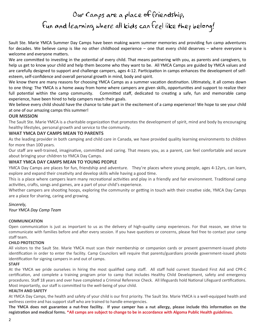# Our Camps are a place of friendship, Fun and learning where all kids can feel like they belong!

Sault Ste. Marie YMCA Summer Day Camps have been making warm summer memories and providing fun camp adventures for decades. We believe camp is like no other childhood experience – one that every child deserves – where everyone is welcome and everyone matters.

We are committed to investing in the potential of every child. That means partnering with you, as parents and caregivers, to help us get to know your child and help them become who they want to be. All YMCA Camps are guided by YMCA values and are carefully designed to support and challenge campers, ages 4-12. Participation in camps enhances the development of selfesteem, self-confidence and overall personal growth in mind, body and spirit.

We know there are many reasons for choosing YMCA Camps as a summer vacation destination. Ultimately, it all comes down to one thing: The YMCA is a home away from home where campers are given skills, opportunities and support to realize their full potential within the camp community. Committed staff, dedicated to creating a safe, fun and memorable camp experience, have been hired to help campers reach their goals.

We believe every child should have the chance to take part in the excitement of a camp experience! We hope to see your child at one of our amazing camps this summer!

#### **OUR MISSION**

The Sault Ste. Marie YMCA is a charitable organization that promotes the development of spirit, mind and body by encouraging healthy lifestyles, personal growth and service to the community.

#### **WHAT YMCA DAY CAMPS MEAN TO PARENTS**

As the leading provider in both camping and child care in Canada, we have provided quality learning environments to children for more than 100 years.

Our staff are well-trained, imaginative, committed and caring. That means you, as a parent, can feel comfortable and secure about bringing your children to YMCA Day Camps.

#### **WHAT YMCA DAY CAMPS MEAN TO YOUNG PEOPLE**

YMCA Day Camps are places for fun, friendship and adventure. They're places where young people, ages 4-12yrs, can learn, explore and expand their creativity and develop skills while having a good time.

This is a place where campers learn many recreational activities and play in a friendly and fair environment. Traditional camp activities, crafts, songs and games, are a part of your child's experience.

Whether campers are shooting hoops, exploring the community or getting in touch with their creative side, YMCA Day Camps are a place for sharing, caring and growing.

#### *Sincerely,*

*Your YMCA Day Camp Team*

#### **COMMUNICATION**

Open communication is just as important to us as the delivery of high-quality camp experiences. For that reason, we strive to communicate with families before and after every session. If you have questions or concerns, please feel free to contact your camp staff team.

#### **CHILD PROTECTION**

All visitors to the Sault Ste. Marie YMCA must scan their membership or companion cards or present government-issued photo identification in order to enter the facility. Camp Councilors will require that parents/guardians provide government-issued photo identification for signing campers in and out of camps.

#### **STAFF**

At the YMCA we pride ourselves in hiring the most qualified camp staff. All staff hold current Standard First Aid and CPR-C certification, and complete a training program prior to camp that includes Healthy Child Development, safety and emergency procedures. Staff 18 years and over have completed a Criminal Reference Check. All lifeguards hold National Lifeguard certifications. Most importantly, our staff is committed to the well-being of your child.

#### **HEALTH AND SAFETY**

At YMCA Day Camps, the health and safety of your child is our first priority. The Sault Ste. Marie YMCA is a well-equipped health and wellness centre and has support staff who are trained to handle emergencies.

**The YMCA does not guarantee a nut-free facility. If your camper has a nut allergy, please include this information on the registration and medical forms. \*All camps are subject to change to be in accordance with Algoma Public Health guidelines.**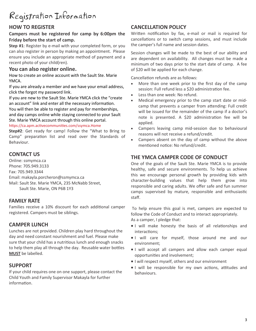# Registration Information

# **HOW TO REGISTER**

#### **Campers must be registered for camp by 6:00pm the Friday before the start of camp.**

**Step #1**: Register by e-mail with your completed form, or you can also register in person by making an appointment. Please ensure you include an appropriate method of payment and a recent photo of your child(ren).

#### **You can also register online.**

How to create an online account with the Sault Ste. Marie YMCA.

If you are already a member and we have your email address, click the forgot my password link.

If you are new to the Sault Ste. Marie YMCA click the "create an account" link and enter all the necessary information. You will then be able to register and pay for memberships,

and day camps online while staying connected to your Sault Ste. Marie YMCA account through this online portal.

#### [https://ca.apm.activecommunities.com/ssymca.Home](https://ca.apm.activecommunities.com/ssymca/Home)

**Step#2**: Get ready for camp! Follow the "What to Bring to Camp" preparation list and read over the Standards of Behaviour.

# **CONTACT US**

Online: ssmymca.ca Phone: 705.949.3133 Fax: 705.949.3344 Email: makayla.porcheron@ssmymca.ca Mail: Sault Ste. Marie YMCA, 235 McNabb Street, Sault Ste. Marie, ON P6B 1Y3

# **FAMILY RATE**

Families receive a 10% discount for each additional camper registered. Campers must be siblings.

# **CAMPER LUNCH**

Lunches are not provided. Children play hard throughout the day and need constant nourishment and fuel. Please make sure that your child has a nutritious lunch and enough snacks to help them play all through the day. Reusable water bottles **MUST** be labelled.

# **SUPPORT**

If your child requires one on one support, please contact the Child Youth and Family Supervisor Makayla for further information.

# **CANCELLATION POLICY**

Written notification by fax, e-mail or mail is required for cancellations or to switch camp sessions, and must include the camper's full name and session dates.

Session changes will be made to the best of our ability and are dependent on availability. All changes must be made a minimum of two days prior to the start date of camp. A fee of \$20 will be applied for each change.

Cancellation refunds are as follows:

- More than one week prior to the first day of the camp session: Full refund less a \$20 administration fee.
- Less than one week: No refund.
- Medical emergency prior to the camp start date or midcamp that prevents a camper from attending: Full credit will be issued for the remainder of the camp if a doctor's note is presented. A \$20 administration fee will be applied.
- Campers leaving camp mid-session due to behavioural reasons will not receive a refund/credit.
- Campers absent on the day of camp without the above mentioned notice: No refund/credit.

# **THE YMCA CAMPER CODE OF CONDUCT**

One of the goals of the Sault Ste. Marie YMCA is to provide healthy, safe and secure environments. To help us achieve this we encourage personal growth by providing kids with character-building values that help them grow into responsible and caring adults. We offer safe and fun summer camps supervised by mature, responsible and enthusiastic staff.

To help ensure this goal is met, campers are expected to follow the Code of Conduct and to interact appropriately. As a camper, I pledge that:

- I will make honesty the basis of all relationships and interactions;
- I will care for myself, those around me and our environment;
- I will accept all campers and allow each camper equal opportunities and involvement;
- I will respect myself, others and our environment
- I will be responsible for my own actions, attitudes and behaviours.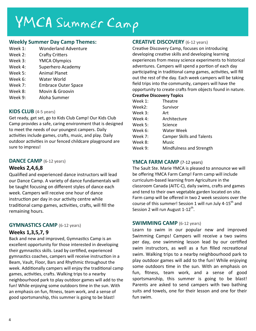# YMCA Summer Camp

#### **Weekly Summer Day Camp Themes:**

- Week 1: Wonderland Adventure
- Week 2: Crafty Critters
- Week 3: YMCA Olympics
- Week 4: Superhero Academy
- Week 5: Animal Planet
- Week 6: Water World
- Week 7: Embrace Outer Space
- Week 8: Movin & Groovin
- Week 9: Aloha Summer

## **KIDS CLUB** (4-5 years)

Get ready, get set, go to Kids Club Camp! Our Kids Club Camp provides a safe, caring environment that is designed to meet the needs of our youngest campers. Daily activities include games, crafts, music, and play. Daily outdoor activities in our fenced childcare playground are sure to impress!

## **DANCE CAMP** (6-12 years)

# **Weeks 2,4,6,8**

Qualified and experienced dance instructors will lead our Dance Camp. A variety of dance fundamentals will be taught focusing on different styles of dance each week. Campers will receive one hour of dance instruction per day in our activity centre while traditional camp games, activities, crafts, will fill the remaining hours.

# **GYMNASTICS CAMP** (6-12 years)

## **Weeks 1,3,5,7, 9**

Back and new and improved, Gymnastics Camp is an excellent opportunity for those interested in developing their gymnastics skills. Lead by certified, experienced gymnastics coaches, campers will receive instruction in a Beam, Vault, Floor, Bars and Rhythmic throughout the week. Additionally campers will enjoy the traditional camp games, activities, crafts. Walking trips to a nearby neighbourhood park to play outdoor games will add to the fun! While enjoying some outdoors time in the sun. With an emphasis on fun, fitness, team work, and a sense of good sportsmanship, this summer is going to be blast!

# **CREATIVE DISCOVERY** (6-12 years)

Creative Discovery Camp, focuses on introducing developing creative skills and developing learning experiences from messy science experiments to historical adventures. Campers will spend a portion of each day participating in traditional camp games, activities, will fill out the rest of the day. Each week campers will be taking field trips into the community, campers will have the opportunity to create crafts from objects found in nature.

#### **Creative Discovery Topics**

| Week 1: | Theatre                          |
|---------|----------------------------------|
| Week2:  | Survivor                         |
| Week 3: | Art                              |
| Week 4: | Architecture                     |
| Week 5: | Science                          |
| Week 6: | <b>Water Week</b>                |
| Week 7: | <b>Camper Skills and Talents</b> |
| Week 8: | Music                            |
| Week 9: | Mindfulness and Strength         |

## **YMCA FARM CAMP** (7-12 years)

The Sault Ste. Marie YMCA is pleased to announce we will be offering YMCA Farm Camp! Farm camp will include curriculum-based learning from Agriculture in the classroom Canada (AITC-C), daily swims, crafts and games and tend to their own vegetable garden located on site. Farm camp will be offered in two 2 week sessions over the course of this summer! Session 1 will run July 4-15<sup>th</sup> and Session 2 will run August 1-12<sup>th</sup>.

#### **SWIMMING CAMP** (6-12 years)

Learn to swim in our popular new and improved Swimming Camps! Campers will receive a two swims per day, one swimming lesson lead by our certified swim instructors, as well as a fun filled recreational swim. Walking trips to a nearby neighbourhood park to play outdoor games will add to the fun! While enjoying some outdoors time in the sun. With an emphasis on fun, fitness, team work, and a sense of good sportsmanship, this summer is going to be blast! Parents are asked to send campers with two bathing suits and towels, one for their lesson and one for their fun swim.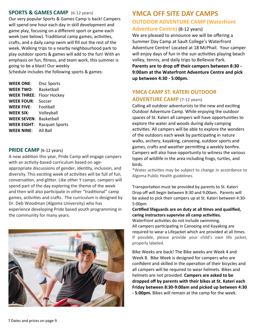#### **SPORTS & GAMES CAMP** (6-12 years)

Our very popular Sports & Games Camp is back! Campers will spend one hour each day in skill development and game play, focusing on a different sport or game each week (see below). Traditional camp games, activities, crafts, and a daily camp swim will fill out the rest of the week. Walking trips to a nearby neighbourhood park to play outdoor sports & games will add to the fun! With an emphasis on fun, fitness, and team work, this summer is going to be a blast! Our weekly

Schedule includes the following sports & games:

| <b>WEEK ONE:</b>   | <b>Disc Sports</b>    |
|--------------------|-----------------------|
| <b>WEEK TWO:</b>   | Basketball            |
| <b>WEEK THREE:</b> | <b>Floor Hockey</b>   |
| <b>WEEK FOUR:</b>  | Soccer                |
| <b>WEEK FIVE:</b>  | Football              |
| <b>WEEK SIX:</b>   | Volleyball            |
| <b>WEEK SEVEN:</b> | <b>Basketball</b>     |
| <b>WEEK EIGHT:</b> | <b>Racquet Sports</b> |
| <b>WEEK NINE:</b>  | All Ball              |

#### **PRIDE CAMP** (6-12 years)

A new addition this year, Pride Camp will engage campers with an activity-based curriculum based on ageappropriate discussions of gender, identity, inclusion, and diversity. This exciting week of activities will be full of fun, conversation, and glitter. Like other Y camps, campers will spend part of the day exploring the theme of the week and then will also participate in other "traditional" camp games, activities and crafts. The curriculum is designed by Dr. Deb Woodman (Algoma University) who has experience developing Pride based youth programming in the community for many years.



# **YMCA OFF SITE DAY CAMPS OUTDOOR ADVENTURE CAMP (Waterfront**

# **Adventure Centre)** (8-12 years)

We are pleased to announce we will be offering a Summer Day Camp at Sault College's Waterfront Adventure Centre! Located at 18 McPhail. Your camper will enjoy days of fun in the sun activities playing beach volley, tennis, and daily trips to Bellevue Park.

**Parents are to drop off their campers between 8:30 - 9:00am at the Waterfront Adventure Centre and pick up between 4:30 - 5:00pm.**

# **YMCA CAMP ST. KATERI OUTDOOR ADVENTURE CAMP** (7-12 years)

Calling all outdoor adventurists to the new and exciting Outdoor Adventure Camp. While enjoying the outdoor spaces of St. Kateri all campers will have opportunities to explore the water and woods during daily camping activities. All campers will be able to explore the wonders of the outdoors each week by participating in nature walks, archery, kayaking, canoeing, outdoor sports and games, crafts and weather permitting a weekly bonfire. Campers will also have opportunity to witness the various types of wildlife in the area including frogs, turtles, and birds.

\*Water activities may be subject to change in accordance to Algoma Public Health guidelines.

Transportation must be provided by parents to St. Kateri Drop off will begin between 8:30 and 9:00am. Parents will be asked to pick their campers up at St. Kateri between 4:30- 5:00pm

**Certified lifeguards are on duty at all times and qualified, caring instructors supervise all camp activities.** 

Waterfront activities do not include swimming. All campers participating in Canoeing and Kayaking are required to wear a Lifejacket which are provided at all times. If possible, please provide your child's own life jacket, properly labeled.

Bike Weeks are back! The Bike weeks are Week 4 and Week 8. Bike Week is designed for campers who are confident and skilled in the operation of their bicycles and all campers will be required to wear helmets. Bikes and helmets are not provided. **Campers are asked to be dropped off by parents with their bikes at St. Kateri each Friday between 8:30-9:00am and picked up between 4:30 - 5:00pm.** Bikes will remain at the camp for the week.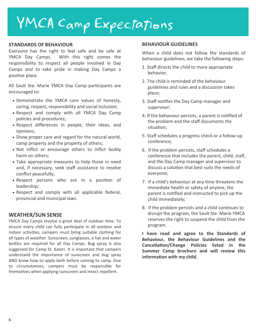# YMCA Camp Expectations

#### **STANDARDS OF BEHAVIOUR**

Everyone has the right to feel safe and be safe at YMCA Day Camps. With this right comes the responsibility to respect all people involved in Day Camps and to take pride in making Day Camps a positive place.

All Sault Ste. Marie YMCA Day Camp participants are encouraged to:

- Demonstrate the YMCA core values of honesty, caring, respect, responsibility and social inclusion;
- Respect and comply with all YMCA Day Camp policies and procedures;
- Respect differences in people, their ideas, and opinions;
- Show proper care and regard for the natural world, camp property and the property of others;
- Not inflict or encourage others to inflict bodily harm on others;
- Take appropriate measures to help those in need and, if necessary, seek staff assistance to resolve conflict peacefully;
- Respect persons who are in a position of leadership;
- Respect and comply with all applicable federal, provincial and municipal laws.

#### **WEATHER/SUN SENSE**

YMCA Day Camps involve a great deal of outdoor time. To ensure every child can fully participate in all outdoor and indoor activities, campers must bring suitable clothing for all types of weather. Sunscreen, sunglasses, a hat and water bottles are required for all Day Camps. Bug spray is also suggested for Camp St. Kateri. It is important that campers understand the importance of sunscreen and bug spray AND know how to apply both before coming to camp. Due to circumstances, campers must be responsible for themselves when applying sunscreen and insect repellent.

#### **BEHAVIOUR GUIDELINES**

When a child does not follow the standards of behaviour guidelines, we take the following steps:

- 1. Staff directs the child to more appropriate behavior;
- 2. The child is reminded of the behaviour guidelines and rules and a discussion takes place;
- 3. Staff notifies the Day Camp manager and supervisor;
- 4. If the behaviour persists, a parent is notified of the problem and the staff documents the situation;
- 5. Staff schedules a progress check or a follow-up conference;
- 6. If the problem persists, staff schedules a conference that includes the parent, child, staff, and the Day Camp manager and supervisor to discuss a solution that best suits the needs of everyone;
- 7. If a child's behaviour at any time threatens the immediate health or safety of anyone, the parent is notified and instructed to pick up the child immediately;
- 8. If the problem persists and a child continues to disrupt the program, the Sault Ste. Marie YMCA reserves the right to suspend the child from the program.

**I have read and agree to the Standards of Behaviour, the Behaviour Guidelines and the Cancellation/Change Policies listed in the Summer Camp brochure and will review this information with my child.**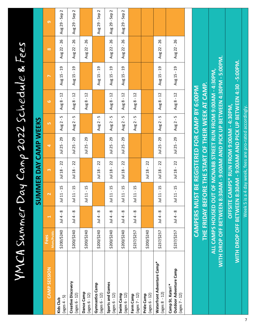|                                                             | YMCA Summer                                                                                 |                                |                                           |                                                                                                     |                           |                                  |                                            | Jay Camp 2022 Schedule & Fees                     |                 |                     |
|-------------------------------------------------------------|---------------------------------------------------------------------------------------------|--------------------------------|-------------------------------------------|-----------------------------------------------------------------------------------------------------|---------------------------|----------------------------------|--------------------------------------------|---------------------------------------------------|-----------------|---------------------|
|                                                             |                                                                                             |                                |                                           | SUMMER DAY CAMP WEEKS                                                                               |                           |                                  |                                            |                                                   |                 |                     |
| CAMP SESSION                                                | Mem/Public<br>Fees                                                                          | H                              | $\mathbf{\tilde{z}}$                      | $\infty$                                                                                            | $\blacktriangleleft$      | LO.                              | ဖ                                          | $\breve{}$                                        | $\infty$        | ၜ                   |
| $(ages 4 - 5)$<br>Kids Club                                 | \$200/\$240                                                                                 | ∞<br>$\mathbf{I}$<br>Jul 4     | 15<br>$\mathbf{I}$<br>Jul 11              | 22<br>$\mathbf{I}$<br>Jul 18                                                                        | $-29$<br>$Jul$ 25 $\cdot$ | LN.<br>$\blacksquare$<br>Aug 2 - | $\overline{c}$<br>$\mathbf{I}$<br>Aug 8    | $-19$<br>Aug 15                                   | $-26$<br>Aug 22 | $-$ Sep 2<br>Aug 29 |
| Creative Discovery<br>(ages 6 - 12)                         | \$200/\$240                                                                                 | $\sim$<br>$\frac{4}{3}$        | 15<br>$\mathbf{I}$<br>Jul 11              | 22<br>$\mathbf{I}$<br>Jul 18                                                                        | $-29$<br>Jul 25           | LN.<br>$\blacksquare$<br>Aug 2-  | $\overline{12}$<br>$\blacksquare$<br>Aug 8 | $-19$<br>Aug 15-                                  | $-26$<br>Aug 22 | Aug 29 - Sep 2      |
| Dance Camp<br>(ages 6 - 12)                                 | \$200/\$240                                                                                 |                                | 15<br>$\mathbf{I}$<br>Jul 11              |                                                                                                     | $-29$<br>$J$ ul 25 -      |                                  | $\overline{12}$<br>$\mathbf{I}$<br>Aug 8 - |                                                   | $-26$<br>Aug 22 |                     |
| Gymnastics Camp<br>(ages 6 - 12)                            | \$200/\$240                                                                                 | $\frac{8}{1}$<br>$\frac{1}{4}$ |                                           | 22<br>$\mathbf{r}$<br>$J$ ul 18                                                                     |                           | 5<br>$\mathbf{I}$<br>Aug 2 -     |                                            | Aug 15 - 19                                       |                 | Aug 29 - Sep 2      |
| Sports and Games<br>(ages 6 - 12)                           | \$200/\$240                                                                                 | $\sim$<br>Jul 4                | $\overline{15}$<br>$\mathbf{I}$<br>Jul 11 | 22<br>$\mathbf{I}$<br>Jul 18                                                                        | $-29$<br>$J$ ul 25 -      | 5<br>$\blacksquare$<br>Aug 2     | $-12$<br>Aug 8                             | $-19$<br>Aug 15                                   | Aug 22 - 26     | Aug 29 - Sep 2      |
| Swim Camp<br>$(ages 6 - 12)$                                | \$200/\$240                                                                                 | $\frac{8}{1}$<br>$\frac{4}{4}$ | 15<br>$\mathbf{I}$<br>Jul 11              | 22<br>$\mathbf{I}$<br>Jul 18                                                                        | $-29$<br>Jul 25 $-$       | Б<br>$\mathbf{I}$<br>Aug 2       | $\overline{12}$<br>$\mathbf{I}$<br>Aug 8   | $-19$<br>Aug 15                                   | $-26$<br>Aug 22 | Aug 29 - Sep 2      |
| $(\text{ages } 7 - 12)$<br>Farm Camp                        | \$237/\$257                                                                                 | $J$ ul 4 - 8                   | 15<br>$\mathbf{I}$<br><b>Jul 11</b>       |                                                                                                     |                           | S<br>$\mathbf{I}$<br>Aug 2 -     | Aug 8 - 12                                 |                                                   |                 |                     |
| $(ages 6 - 12)$<br>Pride Camp                               | \$200/\$240                                                                                 |                                |                                           | 22<br>$\mathbf{I}$<br>Jul 18                                                                        |                           |                                  |                                            |                                                   |                 |                     |
| <b>Waterfront Adventure Camp*</b><br>$(ages 8 - 12)$        | \$237/\$257                                                                                 | $J$ ul 4 - 8                   | 15<br>$\blacksquare$<br>Jul 11            | 22<br>$\bar{\mathbf{r}}$<br>Jul 18                                                                  | Jul 25 - 29               | LN.<br>$\mathbf{I}$<br>Aug 2 -   | $\overline{12}$<br>Aug 8 - $\overline{2}$  | Aug 15 - 19                                       | $-26$<br>Aug 22 |                     |
| Outdoor Adventure Camp<br>Camp St. Kateri*<br>(ages 7 - 12) | \$237/\$257                                                                                 | $J$ ul 4 - 8                   | $-15$<br><b>Jul 11</b>                    | Jul 18 - 22                                                                                         | Jul 25 - 29               | Aug 2 - 5                        | Aug 8 - 12                                 | Aug 15 - 19                                       | Aug 22 - 26     |                     |
|                                                             |                                                                                             |                                |                                           |                                                                                                     |                           |                                  |                                            |                                                   |                 |                     |
|                                                             |                                                                                             |                                |                                           | THE FRIDAY BEFORE THE START OF THEIR WEEK AT CAMP.<br>CAMPERS MUST BE REGISTERED FOR CAMP BY 6:00PM |                           |                                  |                                            |                                                   |                 |                     |
|                                                             | ALL CAMPS HOUSED OUT OF MCNABB STREET RUN FROM 9:00AM - 4:30PM<br>WITH DROP OFF BETWEEN 8:3 |                                |                                           |                                                                                                     |                           |                                  |                                            | 0AM - 9:00AM AND PICK UP BETWEEN 4:30PM - 5:00PM. |                 |                     |
|                                                             | WITH DROP OFF BETWEEN 8:30AM - 9:00AM AND PICK UP BETWEEN 4:30 -5:00PM.                     |                                |                                           | <b>OFFSITE CAMPS* RUN FROM 9:00AM - 4:30PM,</b>                                                     |                           |                                  |                                            |                                                   |                 |                     |
|                                                             |                                                                                             |                                | Week 5 is a                               | 4 day week, fees are pro-rated accordingly.                                                         |                           |                                  |                                            |                                                   |                 |                     |